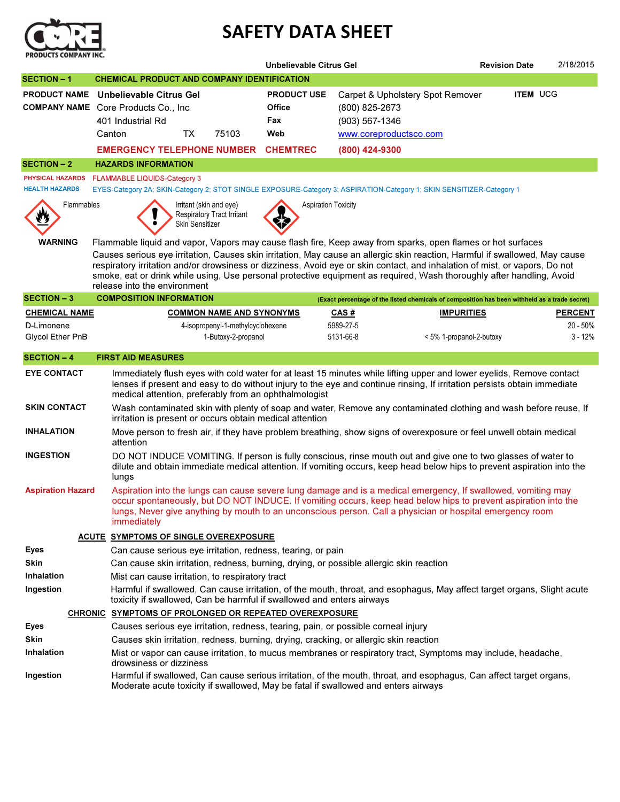

## SAFETY DATA SHEET

|                                                  |                                                                                                                                                                                                                                                                                                                                                                                                                     | Unbelievable Citrus Gel      |                                                                                               |                          |                     |  |
|--------------------------------------------------|---------------------------------------------------------------------------------------------------------------------------------------------------------------------------------------------------------------------------------------------------------------------------------------------------------------------------------------------------------------------------------------------------------------------|------------------------------|-----------------------------------------------------------------------------------------------|--------------------------|---------------------|--|
| <b>SECTION-1</b>                                 | <b>CHEMICAL PRODUCT AND COMPANY IDENTIFICATION</b>                                                                                                                                                                                                                                                                                                                                                                  |                              |                                                                                               |                          |                     |  |
| <b>PRODUCT NAME</b>                              | Unbelievable Citrus Gel<br><b>COMPANY NAME</b> Core Products Co., Inc.                                                                                                                                                                                                                                                                                                                                              | <b>PRODUCT USE</b><br>Office | Carpet & Upholstery Spot Remover<br>(800) 825-2673                                            | <b>ITEM UCG</b>          |                     |  |
|                                                  | 401 Industrial Rd                                                                                                                                                                                                                                                                                                                                                                                                   | Fax                          | (903) 567-1346                                                                                |                          |                     |  |
|                                                  | <b>TX</b><br>75103<br>Canton                                                                                                                                                                                                                                                                                                                                                                                        | Web                          | www.coreproductsco.com                                                                        |                          |                     |  |
|                                                  | <b>EMERGENCY TELEPHONE NUMBER</b>                                                                                                                                                                                                                                                                                                                                                                                   | <b>CHEMTREC</b>              | (800) 424-9300                                                                                |                          |                     |  |
| <b>SECTION - 2</b>                               | <b>HAZARDS INFORMATION</b>                                                                                                                                                                                                                                                                                                                                                                                          |                              |                                                                                               |                          |                     |  |
| <b>PHYSICAL HAZARDS</b><br><b>HEALTH HAZARDS</b> | <b>FLAMMABLE LIQUIDS-Category 3</b><br>EYES-Category 2A; SKIN-Category 2; STOT SINGLE EXPOSURE-Category 3; ASPIRATION-Category 1; SKIN SENSITIZER-Category 1                                                                                                                                                                                                                                                        |                              |                                                                                               |                          |                     |  |
| Flammables                                       | Irritant (skin and eye)<br><b>Respiratory Tract Irritant</b><br>Skin Sensitizer                                                                                                                                                                                                                                                                                                                                     | <b>Aspiration Toxicity</b>   |                                                                                               |                          |                     |  |
| <b>WARNING</b>                                   | Flammable liquid and vapor, Vapors may cause flash fire, Keep away from sparks, open flames or hot surfaces                                                                                                                                                                                                                                                                                                         |                              |                                                                                               |                          |                     |  |
|                                                  | Causes serious eye irritation, Causes skin irritation, May cause an allergic skin reaction, Harmful if swallowed, May cause<br>respiratory irritation and/or drowsiness or dizziness, Avoid eye or skin contact, and inhalation of mist, or vapors, Do not<br>smoke, eat or drink while using, Use personal protective equipment as required, Wash thoroughly after handling, Avoid<br>release into the environment |                              |                                                                                               |                          |                     |  |
| <b>SECTION-3</b>                                 | <b>COMPOSITION INFORMATION</b>                                                                                                                                                                                                                                                                                                                                                                                      |                              | (Exact percentage of the listed chemicals of composition has been withheld as a trade secret) |                          |                     |  |
| <b>CHEMICAL NAME</b>                             | <b>COMMON NAME AND SYNONYMS</b>                                                                                                                                                                                                                                                                                                                                                                                     |                              | <b>CAS#</b>                                                                                   | <b>IMPURITIES</b>        | <b>PERCENT</b>      |  |
| D-Limonene<br>Glycol Ether PnB                   | 4-isopropenyl-1-methylcyclohexene<br>1-Butoxy-2-propanol                                                                                                                                                                                                                                                                                                                                                            |                              | 5989-27-5<br>5131-66-8                                                                        | < 5% 1-propanol-2-butoxy | 20 - 50%<br>3 - 12% |  |
| <b>SECTION - 4</b>                               | <b>FIRST AID MEASURES</b>                                                                                                                                                                                                                                                                                                                                                                                           |                              |                                                                                               |                          |                     |  |
| <b>EYE CONTACT</b>                               | Immediately flush eyes with cold water for at least 15 minutes while lifting upper and lower eyelids, Remove contact<br>lenses if present and easy to do without injury to the eye and continue rinsing, If irritation persists obtain immediate<br>medical attention, preferably from an ophthalmologist                                                                                                           |                              |                                                                                               |                          |                     |  |
| <b>SKIN CONTACT</b>                              | Wash contaminated skin with plenty of soap and water, Remove any contaminated clothing and wash before reuse, If<br>irritation is present or occurs obtain medical attention                                                                                                                                                                                                                                        |                              |                                                                                               |                          |                     |  |
| <b>INHALATION</b>                                | Move person to fresh air, if they have problem breathing, show signs of overexposure or feel unwell obtain medical<br>attention                                                                                                                                                                                                                                                                                     |                              |                                                                                               |                          |                     |  |
| <b>INGESTION</b>                                 | DO NOT INDUCE VOMITING. If person is fully conscious, rinse mouth out and give one to two glasses of water to<br>dilute and obtain immediate medical attention. If vomiting occurs, keep head below hips to prevent aspiration into the<br>lungs                                                                                                                                                                    |                              |                                                                                               |                          |                     |  |
| <b>Aspiration Hazard</b>                         | Aspiration into the lungs can cause severe lung damage and is a medical emergency, If swallowed, vomiting may<br>occur spontaneously, but DO NOT INDUCE. If vomiting occurs, keep head below hips to prevent aspiration into the<br>lungs, Never give anything by mouth to an unconscious person. Call a physician or hospital emergency room<br>immediately                                                        |                              |                                                                                               |                          |                     |  |
|                                                  | ACUTE SYMPTOMS OF SINGLE OVEREXPOSURE                                                                                                                                                                                                                                                                                                                                                                               |                              |                                                                                               |                          |                     |  |
| Eyes                                             | Can cause serious eye irritation, redness, tearing, or pain                                                                                                                                                                                                                                                                                                                                                         |                              |                                                                                               |                          |                     |  |
| Skin                                             | Can cause skin irritation, redness, burning, drying, or possible allergic skin reaction                                                                                                                                                                                                                                                                                                                             |                              |                                                                                               |                          |                     |  |
| <b>Inhalation</b>                                | Mist can cause irritation, to respiratory tract                                                                                                                                                                                                                                                                                                                                                                     |                              |                                                                                               |                          |                     |  |
| Ingestion                                        | Harmful if swallowed, Can cause irritation, of the mouth, throat, and esophagus, May affect target organs, Slight acute<br>toxicity if swallowed, Can be harmful if swallowed and enters airways                                                                                                                                                                                                                    |                              |                                                                                               |                          |                     |  |
|                                                  | CHRONIC SYMPTOMS OF PROLONGED OR REPEATED OVEREXPOSURE                                                                                                                                                                                                                                                                                                                                                              |                              |                                                                                               |                          |                     |  |
| Eyes                                             | Causes serious eye irritation, redness, tearing, pain, or possible corneal injury                                                                                                                                                                                                                                                                                                                                   |                              |                                                                                               |                          |                     |  |
| Skin                                             | Causes skin irritation, redness, burning, drying, cracking, or allergic skin reaction                                                                                                                                                                                                                                                                                                                               |                              |                                                                                               |                          |                     |  |
| Inhalation                                       | Mist or vapor can cause irritation, to mucus membranes or respiratory tract, Symptoms may include, headache,<br>drowsiness or dizziness                                                                                                                                                                                                                                                                             |                              |                                                                                               |                          |                     |  |
| Ingestion                                        | Harmful if swallowed, Can cause serious irritation, of the mouth, throat, and esophagus, Can affect target organs,<br>Moderate acute toxicity if swallowed, May be fatal if swallowed and enters airways                                                                                                                                                                                                            |                              |                                                                                               |                          |                     |  |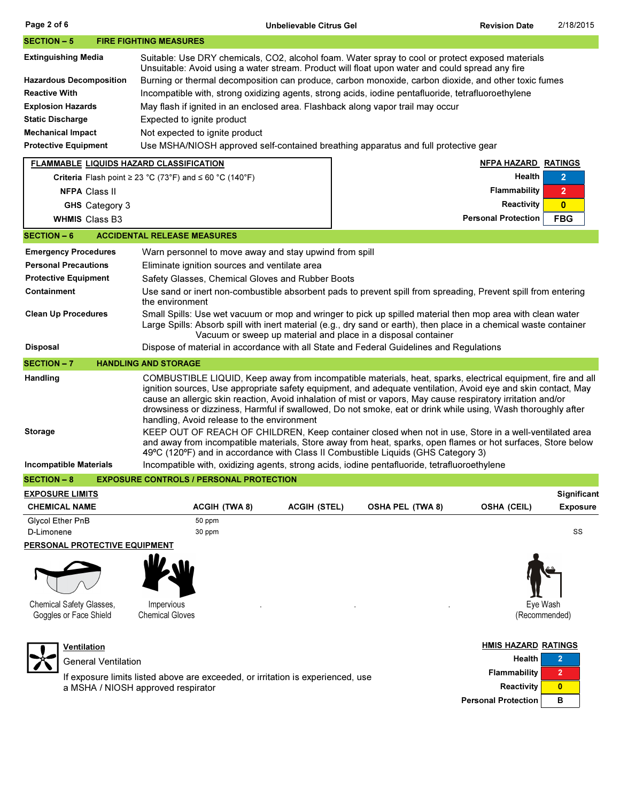| Page 2 of 6                                                                                                                                                                                     | Unbelievable Citrus Gel                                                                                                                                                                                                                                                                                                                                                                                                                                                                                                                                                                                                                                                                                                                                                                                                  |                                                  | <b>Revision Date</b>                                                   | 2/18/2015                                    |  |  |  |  |  |
|-------------------------------------------------------------------------------------------------------------------------------------------------------------------------------------------------|--------------------------------------------------------------------------------------------------------------------------------------------------------------------------------------------------------------------------------------------------------------------------------------------------------------------------------------------------------------------------------------------------------------------------------------------------------------------------------------------------------------------------------------------------------------------------------------------------------------------------------------------------------------------------------------------------------------------------------------------------------------------------------------------------------------------------|--------------------------------------------------|------------------------------------------------------------------------|----------------------------------------------|--|--|--|--|--|
| <b>SECTION – 5</b>                                                                                                                                                                              | <b>FIRE FIGHTING MEASURES</b>                                                                                                                                                                                                                                                                                                                                                                                                                                                                                                                                                                                                                                                                                                                                                                                            |                                                  |                                                                        |                                              |  |  |  |  |  |
| <b>Extinguishing Media</b><br><b>Hazardous Decomposition</b><br><b>Reactive With</b><br><b>Explosion Hazards</b><br>Static Discharge<br><b>Mechanical Impact</b><br><b>Protective Equipment</b> | Suitable: Use DRY chemicals, CO2, alcohol foam. Water spray to cool or protect exposed materials<br>Unsuitable: Avoid using a water stream. Product will float upon water and could spread any fire<br>Burning or thermal decomposition can produce, carbon monoxide, carbon dioxide, and other toxic fumes<br>Incompatible with, strong oxidizing agents, strong acids, iodine pentafluoride, tetrafluoroethylene<br>May flash if ignited in an enclosed area. Flashback along vapor trail may occur<br>Expected to ignite product<br>Not expected to ignite product<br>Use MSHA/NIOSH approved self-contained breathing apparatus and full protective gear                                                                                                                                                             |                                                  |                                                                        |                                              |  |  |  |  |  |
| <b>FLAMMABLE LIQUIDS HAZARD CLASSIFICATION</b>                                                                                                                                                  |                                                                                                                                                                                                                                                                                                                                                                                                                                                                                                                                                                                                                                                                                                                                                                                                                          |                                                  | <b>NFPA HAZARD RATINGS</b><br>Health                                   | $\overline{2}$                               |  |  |  |  |  |
| <b>NFPA Class II</b><br>GHS Category 3<br><b>WHMIS Class B3</b>                                                                                                                                 | Criteria Flash point $\geq$ 23 °C (73°F) and $\leq$ 60 °C (140°F)                                                                                                                                                                                                                                                                                                                                                                                                                                                                                                                                                                                                                                                                                                                                                        |                                                  | <b>Flammability</b><br><b>Reactivity</b><br><b>Personal Protection</b> | $\overline{2}$<br>$\mathbf{0}$<br><b>FBG</b> |  |  |  |  |  |
| <b>SECTION - 6</b>                                                                                                                                                                              | <b>ACCIDENTAL RELEASE MEASURES</b>                                                                                                                                                                                                                                                                                                                                                                                                                                                                                                                                                                                                                                                                                                                                                                                       |                                                  |                                                                        |                                              |  |  |  |  |  |
| <b>Emergency Procedures</b>                                                                                                                                                                     | Warn personnel to move away and stay upwind from spill                                                                                                                                                                                                                                                                                                                                                                                                                                                                                                                                                                                                                                                                                                                                                                   |                                                  |                                                                        |                                              |  |  |  |  |  |
| <b>Personal Precautions</b><br><b>Protective Equipment</b>                                                                                                                                      | Eliminate ignition sources and ventilate area                                                                                                                                                                                                                                                                                                                                                                                                                                                                                                                                                                                                                                                                                                                                                                            |                                                  |                                                                        |                                              |  |  |  |  |  |
| Containment                                                                                                                                                                                     |                                                                                                                                                                                                                                                                                                                                                                                                                                                                                                                                                                                                                                                                                                                                                                                                                          | Safety Glasses, Chemical Gloves and Rubber Boots |                                                                        |                                              |  |  |  |  |  |
| <b>Clean Up Procedures</b>                                                                                                                                                                      | Use sand or inert non-combustible absorbent pads to prevent spill from spreading, Prevent spill from entering<br>the environment<br>Small Spills: Use wet vacuum or mop and wringer to pick up spilled material then mop area with clean water<br>Large Spills: Absorb spill with inert material (e.g., dry sand or earth), then place in a chemical waste container<br>Vacuum or sweep up material and place in a disposal container                                                                                                                                                                                                                                                                                                                                                                                    |                                                  |                                                                        |                                              |  |  |  |  |  |
| Disposal                                                                                                                                                                                        | Dispose of material in accordance with all State and Federal Guidelines and Regulations                                                                                                                                                                                                                                                                                                                                                                                                                                                                                                                                                                                                                                                                                                                                  |                                                  |                                                                        |                                              |  |  |  |  |  |
| <b>SECTION – 7</b>                                                                                                                                                                              | <b>HANDLING AND STORAGE</b>                                                                                                                                                                                                                                                                                                                                                                                                                                                                                                                                                                                                                                                                                                                                                                                              |                                                  |                                                                        |                                              |  |  |  |  |  |
| Handling<br><b>Storage</b>                                                                                                                                                                      | COMBUSTIBLE LIQUID, Keep away from incompatible materials, heat, sparks, electrical equipment, fire and all<br>ignition sources, Use appropriate safety equipment, and adequate ventilation, Avoid eye and skin contact, May<br>cause an allergic skin reaction, Avoid inhalation of mist or vapors, May cause respiratory irritation and/or<br>drowsiness or dizziness, Harmful if swallowed, Do not smoke, eat or drink while using, Wash thoroughly after<br>handling, Avoid release to the environment<br>KEEP OUT OF REACH OF CHILDREN, Keep container closed when not in use, Store in a well-ventilated area<br>and away from incompatible materials, Store away from heat, sparks, open flames or hot surfaces, Store below<br>49°C (120°F) and in accordance with Class II Combustible Liquids (GHS Category 3) |                                                  |                                                                        |                                              |  |  |  |  |  |
| <b>Incompatible Materials</b>                                                                                                                                                                   | Incompatible with, oxidizing agents, strong acids, iodine pentafluoride, tetrafluoroethylene                                                                                                                                                                                                                                                                                                                                                                                                                                                                                                                                                                                                                                                                                                                             |                                                  |                                                                        |                                              |  |  |  |  |  |
| <b>SECTION - 8</b>                                                                                                                                                                              | <b>EXPOSURE CONTROLS / PERSONAL PROTECTION</b>                                                                                                                                                                                                                                                                                                                                                                                                                                                                                                                                                                                                                                                                                                                                                                           |                                                  |                                                                        |                                              |  |  |  |  |  |
| <b>EXPOSURE LIMITS</b>                                                                                                                                                                          |                                                                                                                                                                                                                                                                                                                                                                                                                                                                                                                                                                                                                                                                                                                                                                                                                          |                                                  |                                                                        | Significant                                  |  |  |  |  |  |
| <b>CHEMICAL NAME</b>                                                                                                                                                                            | <b>ACGIH (TWA 8)</b><br><b>ACGIH (STEL)</b>                                                                                                                                                                                                                                                                                                                                                                                                                                                                                                                                                                                                                                                                                                                                                                              | <b>OSHA PEL (TWA 8)</b>                          | <b>OSHA (CEIL)</b>                                                     | <b>Exposure</b>                              |  |  |  |  |  |
| Glycol Ether PnB<br>D-Limonene                                                                                                                                                                  | 50 ppm<br>30 ppm                                                                                                                                                                                                                                                                                                                                                                                                                                                                                                                                                                                                                                                                                                                                                                                                         |                                                  |                                                                        | SS                                           |  |  |  |  |  |
| <u>PERSONAL PROTECTIVE EQUIPMENT</u>                                                                                                                                                            |                                                                                                                                                                                                                                                                                                                                                                                                                                                                                                                                                                                                                                                                                                                                                                                                                          |                                                  |                                                                        |                                              |  |  |  |  |  |
| Chemical Safety Glasses,<br>Goggles or Face Shield                                                                                                                                              | Impervious<br><b>Chemical Gloves</b>                                                                                                                                                                                                                                                                                                                                                                                                                                                                                                                                                                                                                                                                                                                                                                                     |                                                  | Eye Wash<br>(Recommended)                                              |                                              |  |  |  |  |  |
|                                                                                                                                                                                                 |                                                                                                                                                                                                                                                                                                                                                                                                                                                                                                                                                                                                                                                                                                                                                                                                                          |                                                  |                                                                        |                                              |  |  |  |  |  |



**Ventilation** General Ventilation

If exposure limits listed above are exceeded, or irritation is experienced, use a MSHA / NIOSH approved respirator

Reactivity 0 Personal Protection B

Health 2 Flammability 2

HMIS HAZARD RATINGS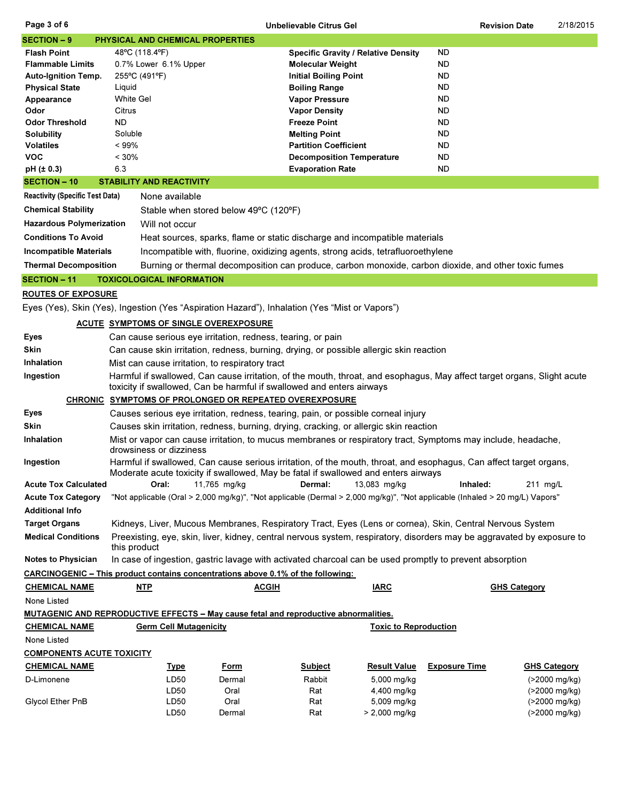| Page 3 of 6<br>Unbelievable Citrus Gel |                                                                                                                         |                                                                                                      |                                            |           | <b>Revision Date</b> | 2/18/2015 |  |  |  |
|----------------------------------------|-------------------------------------------------------------------------------------------------------------------------|------------------------------------------------------------------------------------------------------|--------------------------------------------|-----------|----------------------|-----------|--|--|--|
| <b>SECTION - 9</b>                     |                                                                                                                         | <b>PHYSICAL AND CHEMICAL PROPERTIES</b>                                                              |                                            |           |                      |           |  |  |  |
| <b>Flash Point</b>                     |                                                                                                                         | 48°C (118.4°F)                                                                                       | <b>Specific Gravity / Relative Density</b> | <b>ND</b> |                      |           |  |  |  |
| <b>Flammable Limits</b>                |                                                                                                                         | 0.7% Lower 6.1% Upper                                                                                | <b>Molecular Weight</b>                    | <b>ND</b> |                      |           |  |  |  |
| <b>Auto-Ignition Temp.</b>             | 255°C (491°F)                                                                                                           |                                                                                                      | <b>Initial Boiling Point</b>               | <b>ND</b> |                      |           |  |  |  |
| <b>Physical State</b>                  | Liquid                                                                                                                  |                                                                                                      | <b>Boiling Range</b>                       | <b>ND</b> |                      |           |  |  |  |
| Appearance                             | <b>White Gel</b>                                                                                                        |                                                                                                      | <b>Vapor Pressure</b>                      | <b>ND</b> |                      |           |  |  |  |
| Odor                                   | Citrus                                                                                                                  |                                                                                                      | <b>Vapor Density</b>                       | <b>ND</b> |                      |           |  |  |  |
| <b>Odor Threshold</b>                  | <b>ND</b>                                                                                                               |                                                                                                      | <b>Freeze Point</b>                        | ND.       |                      |           |  |  |  |
| <b>Solubility</b>                      | Soluble                                                                                                                 |                                                                                                      | <b>Melting Point</b>                       | <b>ND</b> |                      |           |  |  |  |
| <b>Volatiles</b>                       | $< 99\%$                                                                                                                |                                                                                                      | <b>Partition Coefficient</b>               | <b>ND</b> |                      |           |  |  |  |
| <b>VOC</b>                             | < 30%                                                                                                                   |                                                                                                      | <b>Decomposition Temperature</b>           | <b>ND</b> |                      |           |  |  |  |
| pH (± 0.3)                             | 6.3                                                                                                                     |                                                                                                      | <b>Evaporation Rate</b>                    | <b>ND</b> |                      |           |  |  |  |
| <b>SECTION - 10</b>                    |                                                                                                                         | <b>STABILITY AND REACTIVITY</b>                                                                      |                                            |           |                      |           |  |  |  |
| <b>Reactivity (Specific Test Data)</b> |                                                                                                                         | None available                                                                                       |                                            |           |                      |           |  |  |  |
| <b>Chemical Stability</b>              |                                                                                                                         | Stable when stored below 49°C (120°F)                                                                |                                            |           |                      |           |  |  |  |
| <b>Hazardous Polymerization</b>        |                                                                                                                         | Will not occur                                                                                       |                                            |           |                      |           |  |  |  |
| <b>Conditions To Avoid</b>             |                                                                                                                         | Heat sources, sparks, flame or static discharge and incompatible materials                           |                                            |           |                      |           |  |  |  |
| <b>Incompatible Materials</b>          |                                                                                                                         | Incompatible with, fluorine, oxidizing agents, strong acids, tetrafluoroethylene                     |                                            |           |                      |           |  |  |  |
| <b>Thermal Decomposition</b>           |                                                                                                                         | Burning or thermal decomposition can produce, carbon monoxide, carbon dioxide, and other toxic fumes |                                            |           |                      |           |  |  |  |
| <b>SECTION - 11</b>                    |                                                                                                                         | <b>TOXICOLOGICAL INFORMATION</b>                                                                     |                                            |           |                      |           |  |  |  |
|                                        | <b>ROUTES OF EXPOSURE</b>                                                                                               |                                                                                                      |                                            |           |                      |           |  |  |  |
|                                        | Eyes (Yes), Skin (Yes), Ingestion (Yes "Aspiration Hazard"), Inhalation (Yes "Mist or Vapors")                          |                                                                                                      |                                            |           |                      |           |  |  |  |
| ACUTE SYMPTOMS OF SINGLE OVEREXPOSURE  |                                                                                                                         |                                                                                                      |                                            |           |                      |           |  |  |  |
| Eyes                                   | Can cause serious eye irritation, redness, tearing, or pain                                                             |                                                                                                      |                                            |           |                      |           |  |  |  |
| <b>Skin</b>                            | Can cause skin irritation, redness, burning, drying, or possible allergic skin reaction                                 |                                                                                                      |                                            |           |                      |           |  |  |  |
| Inhalation                             |                                                                                                                         | Mist can cause irritation, to respiratory tract                                                      |                                            |           |                      |           |  |  |  |
| Ingestion                              | Harmful if swallowed, Can cause irritation, of the mouth, throat, and esophagus, May affect target organs, Slight acute |                                                                                                      |                                            |           |                      |           |  |  |  |

## CHRONIC SYMPTOMS OF PROLONGED OR REPEATED OVEREXPOSURE

toxicity if swallowed, Can be harmful if swallowed and enters airways

Acute Tox Calculated Cral: 11,765 mg/kg Dermal: 13,083 mg/kg Inhaled: 211 mg/L Target Organs Kidneys, Liver, Mucous Membranes, Respiratory Tract, Eyes (Lens or cornea), Skin, Central Nervous System Medical Conditions Preexisting, eye, skin, liver, kidney, central nervous system, respiratory, disorders may be aggravated by exposure to Additional Info Acute Tox Category "Not applicable (Oral > 2,000 mg/kg)", "Not applicable (Dermal > 2,000 mg/kg)", "Not applicable (Inhaled > 20 mg/L) Vapors" Eyes Causes serious eye irritation, redness, tearing, pain, or possible corneal injury Skin Causes skin irritation, redness, burning, drying, cracking, or allergic skin reaction Inhalation Mist or vapor can cause irritation, to mucus membranes or respiratory tract, Symptoms may include, headache, drowsiness or dizziness Ingestion Harmful if swallowed, Can cause serious irritation, of the mouth, throat, and esophagus, Can affect target organs, Moderate acute toxicity if swallowed, May be fatal if swallowed and enters airways

this product

Notes to Physician In case of ingestion, gastric lavage with activated charcoal can be used promptly to prevent absorption

## CARCINOGENIC – This product contains concentrations above 0.1% of the following:

| <b>CHEMICAL NAME</b>                                                                        | <u>NTP</u>                    | <b>ACGIH</b> |                | <b>IARC</b>                  |                      | <b>GHS Category</b> |
|---------------------------------------------------------------------------------------------|-------------------------------|--------------|----------------|------------------------------|----------------------|---------------------|
| None Listed                                                                                 |                               |              |                |                              |                      |                     |
| <b>MUTAGENIC AND REPRODUCTIVE EFFECTS – May cause fetal and reproductive abnormalities.</b> |                               |              |                |                              |                      |                     |
| <b>CHEMICAL NAME</b>                                                                        | <b>Germ Cell Mutagenicity</b> |              |                | <b>Toxic to Reproduction</b> |                      |                     |
| None Listed                                                                                 |                               |              |                |                              |                      |                     |
| <b>COMPONENTS ACUTE TOXICITY</b>                                                            |                               |              |                |                              |                      |                     |
| <b>CHEMICAL NAME</b>                                                                        | <u>Type</u>                   | <u>Form</u>  | <b>Subject</b> | <b>Result Value</b>          | <b>Exposure Time</b> | <b>GHS Category</b> |
| D-Limonene                                                                                  | LD50                          | Dermal       | Rabbit         | 5,000 mg/kg                  |                      | (>2000 mg/kg)       |
|                                                                                             | LD50                          | Oral         | Rat            | 4,400 mg/kg                  |                      | (>2000 mg/kg)       |
| <b>Glycol Ether PnB</b>                                                                     | LD50                          | Oral         | Rat            | 5,009 mg/kg                  |                      | (>2000 mg/kg)       |
|                                                                                             | LD50                          | Dermal       | Rat            | > 2,000 mg/kg                |                      | (>2000 mg/kg)       |
|                                                                                             |                               |              |                |                              |                      |                     |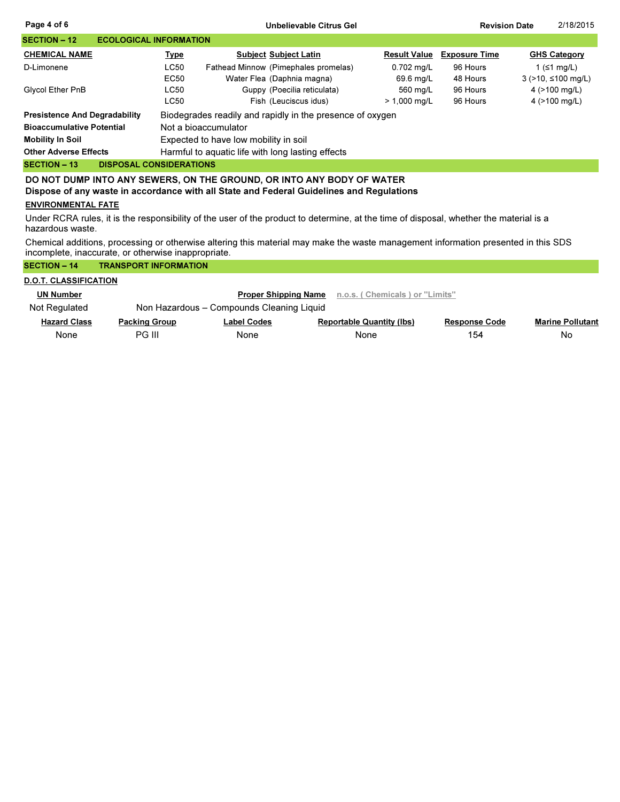| Page 4 of 6                                           |                                       | Unbelievable Citrus Gel                                   |                     | <b>Revision Date</b> | 2/18/2015                  |  |  |  |
|-------------------------------------------------------|---------------------------------------|-----------------------------------------------------------|---------------------|----------------------|----------------------------|--|--|--|
| <b>SECTION – 12</b><br><b>ECOLOGICAL INFORMATION</b>  |                                       |                                                           |                     |                      |                            |  |  |  |
| <b>CHEMICAL NAME</b>                                  | <u>Type</u>                           | <b>Subject Subject Latin</b>                              | <b>Result Value</b> | <b>Exposure Time</b> | <b>GHS Category</b>        |  |  |  |
| D-Limonene                                            | <b>LC50</b>                           | Fathead Minnow (Pimephales promelas)                      | 0.702 mg/L          | 96 Hours             | 1 ( $\leq$ 1 mg/L)         |  |  |  |
|                                                       | EC50                                  | Water Flea (Daphnia magna)                                | 69.6 mg/L           | 48 Hours             | $3$ (>10, $\leq$ 100 mg/L) |  |  |  |
| Glycol Ether PnB                                      | <b>LC50</b>                           | Guppy (Poecilia reticulata)                               | 560 mg/L            | 96 Hours             | 4 $(>100 \text{ mg/L})$    |  |  |  |
|                                                       | <b>LC50</b>                           | Fish (Leuciscus idus)                                     | $> 1,000$ mg/L      | 96 Hours             | 4 $(>100 \text{ mg/L})$    |  |  |  |
| <b>Presistence And Degradability</b>                  |                                       | Biodegrades readily and rapidly in the presence of oxygen |                     |                      |                            |  |  |  |
| <b>Bioaccumulative Potential</b>                      | Not a bioaccumulator                  |                                                           |                     |                      |                            |  |  |  |
| <b>Mobility In Soil</b>                               | Expected to have low mobility in soil |                                                           |                     |                      |                            |  |  |  |
| <b>Other Adverse Effects</b>                          |                                       | Harmful to aquatic life with long lasting effects         |                     |                      |                            |  |  |  |
| <b>SECTION - 13</b><br><b>DISPOSAL CONSIDERATIONS</b> |                                       |                                                           |                     |                      |                            |  |  |  |
|                                                       |                                       |                                                           |                     |                      |                            |  |  |  |

DO NOT DUMP INTO ANY SEWERS, ON THE GROUND, OR INTO ANY BODY OF WATER Dispose of any waste in accordance with all State and Federal Guidelines and Regulations

## ENVIRONMENTAL FATE

Under RCRA rules, it is the responsibility of the user of the product to determine, at the time of disposal, whether the material is a hazardous waste.

Chemical additions, processing or otherwise altering this material may make the waste management information presented in this SDS incomplete, inaccurate, or otherwise inappropriate.

| <b>SECTION - 14</b>          | <b>TRANSPORT INFORMATION</b> |                                           |                                  |                      |                         |
|------------------------------|------------------------------|-------------------------------------------|----------------------------------|----------------------|-------------------------|
| <b>D.O.T. CLASSIFICATION</b> |                              |                                           |                                  |                      |                         |
| <b>UN Number</b>             |                              | <b>Proper Shipping Name</b>               | n.o.s. (Chemicals) or "Limits"   |                      |                         |
| Not Regulated                |                              | Non Hazardous - Compounds Cleaning Liquid |                                  |                      |                         |
| <b>Hazard Class</b>          | <b>Packing Group</b>         | <b>Label Codes</b>                        | <b>Reportable Quantity (Ibs)</b> | <b>Response Code</b> | <b>Marine Pollutant</b> |
| None                         | PG III                       | None                                      | None                             | 154                  | No                      |
|                              |                              |                                           |                                  |                      |                         |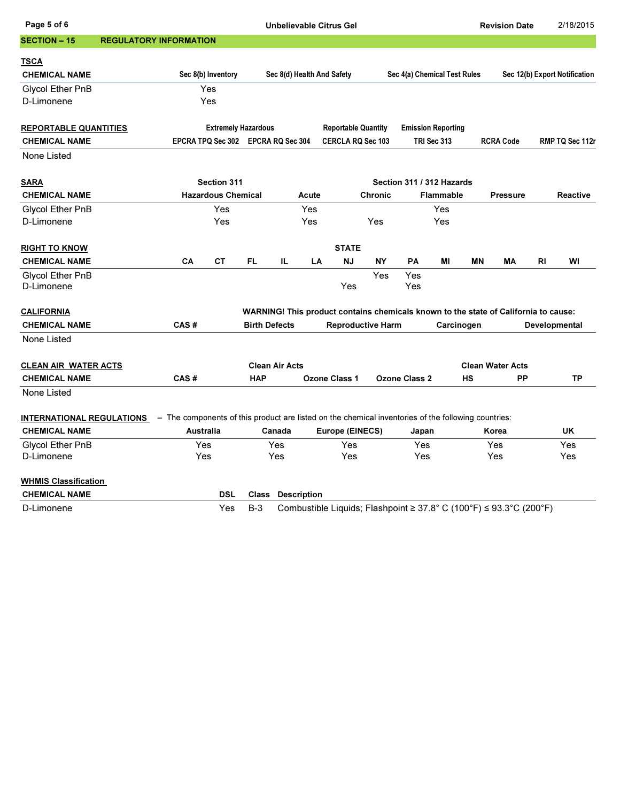| Page 5 of 6                                                                                                                          |                               |                                    |                            |                      |                       |                    | <b>Unbelievable Citrus Gel</b> |                |               |                                                                                             |           | <b>Revision Date</b>    |    | 2/18/2015                     |
|--------------------------------------------------------------------------------------------------------------------------------------|-------------------------------|------------------------------------|----------------------------|----------------------|-----------------------|--------------------|--------------------------------|----------------|---------------|---------------------------------------------------------------------------------------------|-----------|-------------------------|----|-------------------------------|
| <b>SECTION - 15</b>                                                                                                                  | <b>REGULATORY INFORMATION</b> |                                    |                            |                      |                       |                    |                                |                |               |                                                                                             |           |                         |    |                               |
| <u>TSCA</u>                                                                                                                          |                               |                                    |                            |                      |                       |                    |                                |                |               |                                                                                             |           |                         |    |                               |
| <b>CHEMICAL NAME</b>                                                                                                                 |                               |                                    | Sec 8(b) Inventory         |                      |                       |                    | Sec 8(d) Health And Safety     |                |               | Sec 4(a) Chemical Test Rules                                                                |           |                         |    | Sec 12(b) Export Notification |
| <b>Glycol Ether PnB</b>                                                                                                              |                               |                                    | Yes                        |                      |                       |                    |                                |                |               |                                                                                             |           |                         |    |                               |
| D-Limonene                                                                                                                           |                               |                                    | Yes                        |                      |                       |                    |                                |                |               |                                                                                             |           |                         |    |                               |
|                                                                                                                                      |                               |                                    |                            |                      |                       |                    |                                |                |               |                                                                                             |           |                         |    |                               |
| <b>REPORTABLE QUANTITIES</b>                                                                                                         |                               |                                    | <b>Extremely Hazardous</b> |                      |                       |                    | <b>Reportable Quantity</b>     |                |               | <b>Emission Reporting</b>                                                                   |           |                         |    |                               |
| <b>CHEMICAL NAME</b>                                                                                                                 |                               | EPCRA TPQ Sec 302 EPCRA RQ Sec 304 |                            |                      |                       |                    | <b>CERCLA RQ Sec 103</b>       |                |               | TRI Sec 313                                                                                 |           | <b>RCRA Code</b>        |    | RMP TQ Sec 112r               |
| None Listed                                                                                                                          |                               |                                    |                            |                      |                       |                    |                                |                |               |                                                                                             |           |                         |    |                               |
| <b>SARA</b>                                                                                                                          |                               |                                    | Section 311                |                      |                       |                    |                                |                |               | Section 311 / 312 Hazards                                                                   |           |                         |    |                               |
| <b>CHEMICAL NAME</b>                                                                                                                 |                               |                                    | <b>Hazardous Chemical</b>  |                      |                       | Acute              |                                | <b>Chronic</b> |               | Flammable                                                                                   |           | <b>Pressure</b>         |    | Reactive                      |
| <b>Glycol Ether PnB</b>                                                                                                              |                               |                                    | Yes                        |                      |                       | Yes                |                                |                |               | Yes                                                                                         |           |                         |    |                               |
| D-Limonene                                                                                                                           |                               |                                    | Yes                        |                      |                       | Yes                |                                | Yes            |               | Yes                                                                                         |           |                         |    |                               |
| <u>RIGHT TO KNOW</u>                                                                                                                 |                               |                                    |                            |                      |                       |                    | <b>STATE</b>                   |                |               |                                                                                             |           |                         |    |                               |
| <b>CHEMICAL NAME</b>                                                                                                                 |                               | CA                                 | СT                         | FL.                  | IL.                   | LA                 | <b>NJ</b>                      | ΝY             | PA            | MI                                                                                          | <b>MN</b> | МA                      | RI | WI                            |
| <b>Glycol Ether PnB</b><br>D-Limonene                                                                                                |                               |                                    |                            |                      |                       |                    | Yes                            | Yes            | Yes<br>Yes    |                                                                                             |           |                         |    |                               |
|                                                                                                                                      |                               |                                    |                            |                      |                       |                    |                                |                |               |                                                                                             |           |                         |    |                               |
| <b>CALIFORNIA</b>                                                                                                                    |                               | CAS#                               |                            |                      |                       |                    |                                |                |               | WARNING! This product contains chemicals known to the state of California to cause:         |           |                         |    |                               |
| <b>CHEMICAL NAME</b><br>None Listed                                                                                                  |                               |                                    |                            | <b>Birth Defects</b> |                       |                    | <b>Reproductive Harm</b>       |                |               | Carcinogen                                                                                  |           |                         |    | Developmental                 |
|                                                                                                                                      |                               |                                    |                            |                      |                       |                    |                                |                |               |                                                                                             |           |                         |    |                               |
| <b>CLEAN AIR WATER ACTS</b>                                                                                                          |                               |                                    |                            |                      | <b>Clean Air Acts</b> |                    |                                |                |               |                                                                                             |           | <b>Clean Water Acts</b> |    |                               |
| <b>CHEMICAL NAME</b>                                                                                                                 |                               | CAS#                               |                            | <b>HAP</b>           |                       |                    | Ozone Class 1                  |                | Ozone Class 2 |                                                                                             | НS        | <b>PP</b>               |    | TP                            |
| None Listed                                                                                                                          |                               |                                    |                            |                      |                       |                    |                                |                |               |                                                                                             |           |                         |    |                               |
| <b>INTERNATIONAL REGULATIONS</b> – The components of this product are listed on the chemical inventories of the following countries: |                               |                                    |                            |                      |                       |                    |                                |                |               |                                                                                             |           |                         |    |                               |
| <b>CHEMICAL NAME</b>                                                                                                                 |                               | Australia                          |                            |                      | Canada                |                    | Europe (EINECS)                |                | Japan         |                                                                                             |           | Korea                   |    | UK                            |
| <b>Glycol Ether PnB</b>                                                                                                              |                               | Yes                                |                            |                      | <b>Yes</b>            |                    | Yes                            |                | Yes           |                                                                                             |           | Yes                     |    | Yes                           |
| D-Limonene                                                                                                                           |                               | Yes                                |                            |                      | Yes                   |                    | Yes                            |                | Yes           |                                                                                             |           | Yes                     |    | Yes                           |
| <b>WHMIS Classification</b>                                                                                                          |                               |                                    |                            |                      |                       |                    |                                |                |               |                                                                                             |           |                         |    |                               |
| <b>CHEMICAL NAME</b>                                                                                                                 |                               |                                    | <b>DSL</b>                 | <b>Class</b>         |                       | <b>Description</b> |                                |                |               |                                                                                             |           |                         |    |                               |
| D-Limonene                                                                                                                           |                               |                                    | Yes                        | $B-3$                |                       |                    |                                |                |               | Combustible Liquids; Flashpoint $\geq 37.8^{\circ}$ C (100°F) $\leq 93.3^{\circ}$ C (200°F) |           |                         |    |                               |
|                                                                                                                                      |                               |                                    |                            |                      |                       |                    |                                |                |               |                                                                                             |           |                         |    |                               |